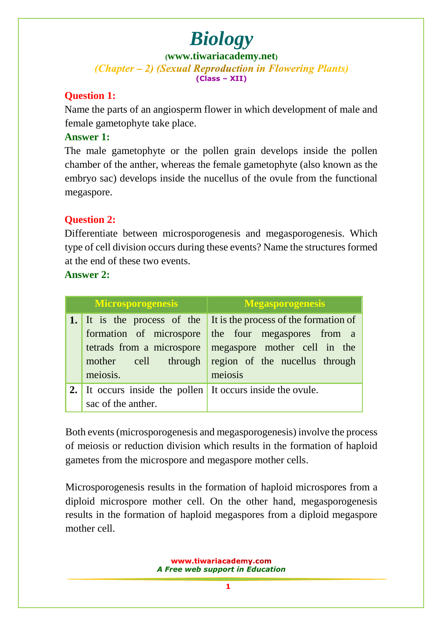**([www.tiwariacademy.net](http://www.tiwariacademy.net/))** (Chapter – 2) (Sexual Reproduction in Flowering Plants) **(Class – XII)**

### **Question 1:**

Name the parts of an angiosperm flower in which development of male and female gametophyte take place.

### **Answer 1:**

The male gametophyte or the pollen grain develops inside the pollen chamber of the anther, whereas the female gametophyte (also known as the embryo sac) develops inside the nucellus of the ovule from the functional megaspore.

### **Question 2:**

Differentiate between microsporogenesis and megasporogenesis. Which type of cell division occurs during these events? Name the structures formed at the end of these two events.

### **Answer 2:**

| <b>Microsporogenesis</b> |                                                                                                                        | <b>Megasporogenesis</b>                                                                                                                          |
|--------------------------|------------------------------------------------------------------------------------------------------------------------|--------------------------------------------------------------------------------------------------------------------------------------------------|
|                          | 1. It is the process of the<br>formation of microspore<br>tetrads from a microspore<br>mother cell through<br>meiosis. | It is the process of the formation of<br>the four megaspores from a<br>megaspore mother cell in the<br>region of the nucellus through<br>meiosis |
| 2.1                      | It occurs inside the pollen It occurs inside the ovule.<br>sac of the anther.                                          |                                                                                                                                                  |

Both events (microsporogenesis and megasporogenesis) involve the process of meiosis or reduction division which results in the formation of haploid gametes from the microspore and megaspore mother cells.

Microsporogenesis results in the formation of haploid microspores from a diploid microspore mother cell. On the other hand, megasporogenesis results in the formation of haploid megaspores from a diploid megaspore mother cell.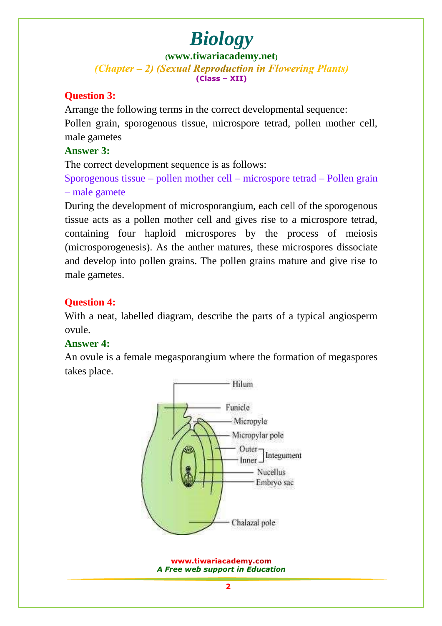**([www.tiwariacademy.net](http://www.tiwariacademy.net/))** (Chapter – 2) (Sexual Reproduction in Flowering Plants) **(Class – XII)**

### **Question 3:**

Arrange the following terms in the correct developmental sequence: Pollen grain, sporogenous tissue, microspore tetrad, pollen mother cell, male gametes

### **Answer 3:**

The correct development sequence is as follows:

Sporogenous tissue – pollen mother cell – microspore tetrad – Pollen grain – male gamete

During the development of microsporangium, each cell of the sporogenous tissue acts as a pollen mother cell and gives rise to a microspore tetrad, containing four haploid microspores by the process of meiosis (microsporogenesis). As the anther matures, these microspores dissociate and develop into pollen grains. The pollen grains mature and give rise to male gametes.

### **Question 4:**

With a neat, labelled diagram, describe the parts of a typical angiosperm ovule.

### **Answer 4:**

An ovule is a female megasporangium where the formation of megaspores takes place.

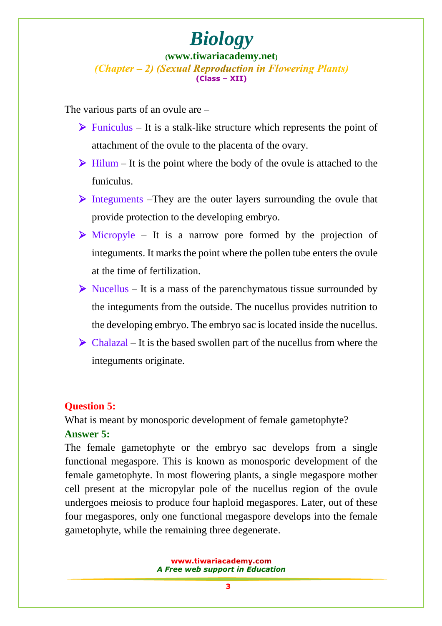#### **([www.tiwariacademy.net](http://www.tiwariacademy.net/))** (Chapter – 2) (Sexual Reproduction in Flowering Plants) **(Class – XII)**

The various parts of an ovule are –

- $\triangleright$  Funiculus It is a stalk-like structure which represents the point of attachment of the ovule to the placenta of the ovary.
- $\triangleright$  Hilum It is the point where the body of the ovule is attached to the funiculus.
- Integuments –They are the outer layers surrounding the ovule that provide protection to the developing embryo.
- $\triangleright$  Micropyle It is a narrow pore formed by the projection of integuments. It marks the point where the pollen tube enters the ovule at the time of fertilization.
- $\triangleright$  Nucellus It is a mass of the parenchymatous tissue surrounded by the integuments from the outside. The nucellus provides nutrition to the developing embryo. The embryo sac is located inside the nucellus.
- $\triangleright$  Chalazal It is the based swollen part of the nucellus from where the integuments originate.

### **Question 5:**

What is meant by monosporic development of female gametophyte?

### **Answer 5:**

The female gametophyte or the embryo sac develops from a single functional megaspore. This is known as monosporic development of the female gametophyte. In most flowering plants, a single megaspore mother cell present at the micropylar pole of the nucellus region of the ovule undergoes meiosis to produce four haploid megaspores. Later, out of these four megaspores, only one functional megaspore develops into the female gametophyte, while the remaining three degenerate.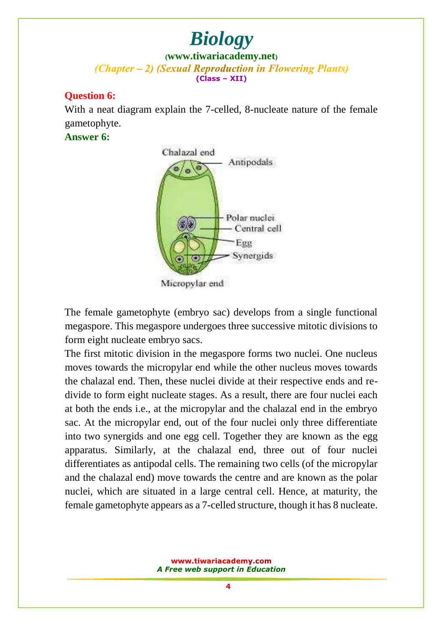**([www.tiwariacademy.net](http://www.tiwariacademy.net/))** (Chapter – 2) (Sexual Reproduction in Flowering Plants) **(Class – XII)**

### **Question 6:**

With a neat diagram explain the 7-celled, 8-nucleate nature of the female gametophyte.

### **Answer 6:**



Micropylar end

The female gametophyte (embryo sac) develops from a single functional megaspore. This megaspore undergoes three successive mitotic divisions to form eight nucleate embryo sacs.

The first mitotic division in the megaspore forms two nuclei. One nucleus moves towards the micropylar end while the other nucleus moves towards the chalazal end. Then, these nuclei divide at their respective ends and redivide to form eight nucleate stages. As a result, there are four nuclei each at both the ends i.e., at the micropylar and the chalazal end in the embryo sac. At the micropylar end, out of the four nuclei only three differentiate into two synergids and one egg cell. Together they are known as the egg apparatus. Similarly, at the chalazal end, three out of four nuclei differentiates as antipodal cells. The remaining two cells (of the micropylar and the chalazal end) move towards the centre and are known as the polar nuclei, which are situated in a large central cell. Hence, at maturity, the female gametophyte appears as a 7-celled structure, though it has 8 nucleate.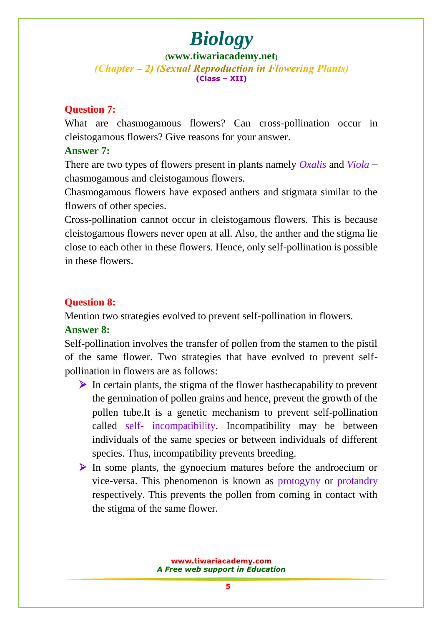**([www.tiwariacademy.net](http://www.tiwariacademy.net/))** (Chapter – 2) (Sexual Reproduction in Flowering Plants) **(Class – XII)**

### **Question 7:**

What are chasmogamous flowers? Can cross-pollination occur in cleistogamous flowers? Give reasons for your answer.

### **Answer 7:**

There are two types of flowers present in plants namely *Oxalis* and *Viola* − chasmogamous and cleistogamous flowers.

Chasmogamous flowers have exposed anthers and stigmata similar to the flowers of other species.

Cross-pollination cannot occur in cleistogamous flowers. This is because cleistogamous flowers never open at all. Also, the anther and the stigma lie close to each other in these flowers. Hence, only self-pollination is possible in these flowers.

### **Question 8:**

Mention two strategies evolved to prevent self-pollination in flowers.

### **Answer 8:**

Self-pollination involves the transfer of pollen from the stamen to the pistil of the same flower. Two strategies that have evolved to prevent selfpollination in flowers are as follows:

- $\triangleright$  In certain plants, the stigma of the flower hasthecapability to prevent the germination of pollen grains and hence, prevent the growth of the pollen tube.It is a genetic mechanism to prevent self-pollination called self- incompatibility. Incompatibility may be between individuals of the same species or between individuals of different species. Thus, incompatibility prevents breeding.
- $\triangleright$  In some plants, the gynoecium matures before the androecium or vice-versa. This phenomenon is known as protogyny or protandry respectively. This prevents the pollen from coming in contact with the stigma of the same flower.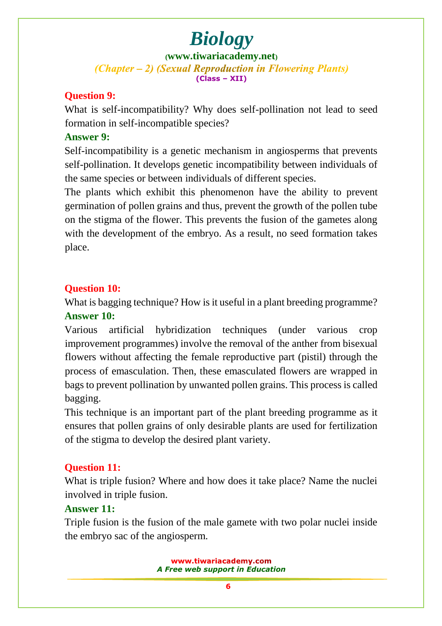**([www.tiwariacademy.net](http://www.tiwariacademy.net/))** (Chapter – 2) (Sexual Reproduction in Flowering Plants) **(Class – XII)**

### **Question 9:**

What is self-incompatibility? Why does self-pollination not lead to seed formation in self-incompatible species?

### **Answer 9:**

Self-incompatibility is a genetic mechanism in angiosperms that prevents self-pollination. It develops genetic incompatibility between individuals of the same species or between individuals of different species.

The plants which exhibit this phenomenon have the ability to prevent germination of pollen grains and thus, prevent the growth of the pollen tube on the stigma of the flower. This prevents the fusion of the gametes along with the development of the embryo. As a result, no seed formation takes place.

### **Question 10:**

What is bagging technique? How is it useful in a plant breeding programme? **Answer 10:**

Various artificial hybridization techniques (under various crop improvement programmes) involve the removal of the anther from bisexual flowers without affecting the female reproductive part (pistil) through the process of emasculation. Then, these emasculated flowers are wrapped in bags to prevent pollination by unwanted pollen grains. This process is called bagging.

This technique is an important part of the plant breeding programme as it ensures that pollen grains of only desirable plants are used for fertilization of the stigma to develop the desired plant variety.

### **Question 11:**

What is triple fusion? Where and how does it take place? Name the nuclei involved in triple fusion.

### **Answer 11:**

Triple fusion is the fusion of the male gamete with two polar nuclei inside the embryo sac of the angiosperm.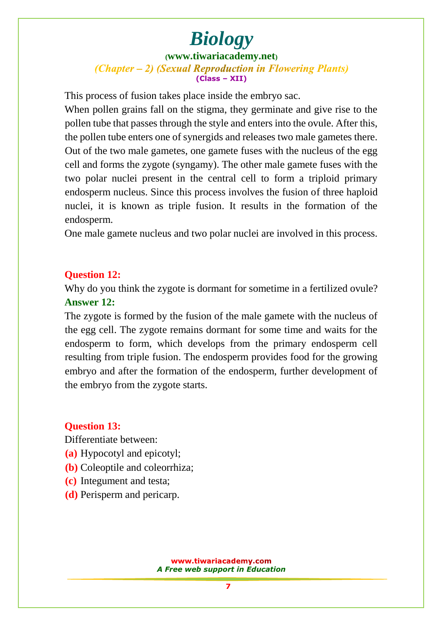### **([www.tiwariacademy.net](http://www.tiwariacademy.net/))** (Chapter – 2) (Sexual Reproduction in Flowering Plants) **(Class – XII)**

This process of fusion takes place inside the embryo sac.

When pollen grains fall on the stigma, they germinate and give rise to the pollen tube that passes through the style and enters into the ovule. After this, the pollen tube enters one of synergids and releases two male gametes there. Out of the two male gametes, one gamete fuses with the nucleus of the egg cell and forms the zygote (syngamy). The other male gamete fuses with the two polar nuclei present in the central cell to form a triploid primary endosperm nucleus. Since this process involves the fusion of three haploid nuclei, it is known as triple fusion. It results in the formation of the endosperm.

One male gamete nucleus and two polar nuclei are involved in this process.

### **Question 12:**

Why do you think the zygote is dormant for sometime in a fertilized ovule? **Answer 12:**

The zygote is formed by the fusion of the male gamete with the nucleus of the egg cell. The zygote remains dormant for some time and waits for the endosperm to form, which develops from the primary endosperm cell resulting from triple fusion. The endosperm provides food for the growing embryo and after the formation of the endosperm, further development of the embryo from the zygote starts.

### **Question 13:**

Differentiate between:

- **(a)** Hypocotyl and epicotyl;
- **(b)** Coleoptile and coleorrhiza;
- **(c)** Integument and testa;
- **(d)** Perisperm and pericarp.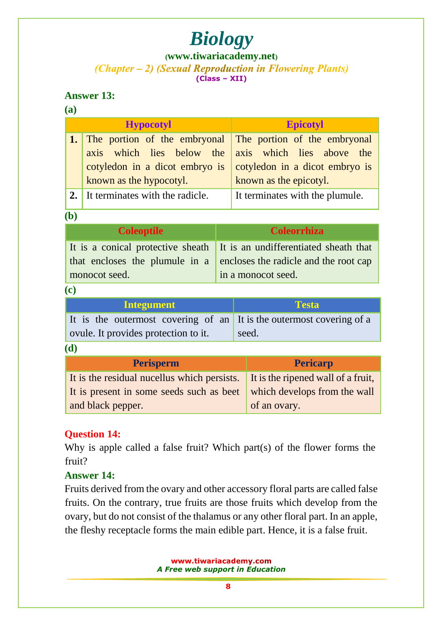### **([www.tiwariacademy.net](http://www.tiwariacademy.net/))**

(Chapter – 2) (Sexual Reproduction in Flowering Plants) **(Class – XII)**

### **Answer 13:**

|                | I<br>I                         |
|----------------|--------------------------------|
| . .<br>×<br>M. | . .<br>۰.<br>I<br>I<br>I<br>×. |

| <b>Hypocotyl</b> |                                                                     | <b>Epicotyl</b>                 |
|------------------|---------------------------------------------------------------------|---------------------------------|
|                  | <b>1.</b> The portion of the embryonal The portion of the embryonal |                                 |
|                  | axis which lies below the axis which lies above the                 |                                 |
|                  | cotyledon in a dicot embryo is                                      | cotyledon in a dicot embryo is  |
|                  | known as the hypocotyl.                                             | known as the epicotyl.          |
|                  | 2. It terminates with the radicle.                                  | It terminates with the plumule. |
|                  |                                                                     |                                 |

#### **(b)**

| <b>Coleoptile</b> | <b>Coleorrhiza</b>                                                                                                                                                    |
|-------------------|-----------------------------------------------------------------------------------------------------------------------------------------------------------------------|
| monocot seed.     | It is a conical protective sheath It is an undifferentiated sheath that<br>that encloses the plumule in a encloses the radicle and the root cap<br>in a monocot seed. |

#### **(c)**

| Integument                                                           | <b>Testa</b> |
|----------------------------------------------------------------------|--------------|
| It is the outermost covering of an It is the outermost covering of a |              |
| ovule. It provides protection to it.                                 | seed.        |

#### **(d)**

| <b>Perisperm</b>                                                               | <b>Pericarp</b>              |
|--------------------------------------------------------------------------------|------------------------------|
| It is the residual nucellus which persists. It is the ripened wall of a fruit, |                              |
| It is present in some seeds such as beet                                       | which develops from the wall |
| and black pepper.                                                              | of an ovary.                 |

### **Question 14:**

Why is apple called a false fruit? Which part(s) of the flower forms the fruit?

### **Answer 14:**

Fruits derived from the ovary and other accessory floral parts are called false fruits. On the contrary, true fruits are those fruits which develop from the ovary, but do not consist of the thalamus or any other floral part. In an apple, the fleshy receptacle forms the main edible part. Hence, it is a false fruit.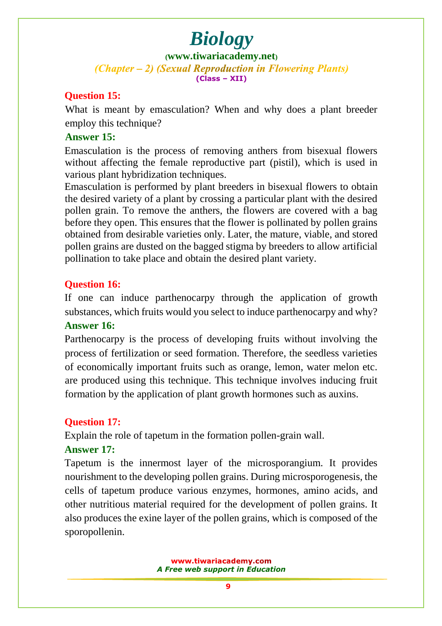#### **([www.tiwariacademy.net](http://www.tiwariacademy.net/))** (Chapter – 2) (Sexual Reproduction in Flowering Plants) **(Class – XII)**

### **Question 15:**

What is meant by emasculation? When and why does a plant breeder employ this technique?

### **Answer 15:**

Emasculation is the process of removing anthers from bisexual flowers without affecting the female reproductive part (pistil), which is used in various plant hybridization techniques.

Emasculation is performed by plant breeders in bisexual flowers to obtain the desired variety of a plant by crossing a particular plant with the desired pollen grain. To remove the anthers, the flowers are covered with a bag before they open. This ensures that the flower is pollinated by pollen grains obtained from desirable varieties only. Later, the mature, viable, and stored pollen grains are dusted on the bagged stigma by breeders to allow artificial pollination to take place and obtain the desired plant variety.

### **Question 16:**

If one can induce parthenocarpy through the application of growth substances, which fruits would you select to induce parthenocarpy and why? **Answer 16:**

### Parthenocarpy is the process of developing fruits without involving the process of fertilization or seed formation. Therefore, the seedless varieties of economically important fruits such as orange, lemon, water melon etc. are produced using this technique. This technique involves inducing fruit formation by the application of plant growth hormones such as auxins.

### **Question 17:**

Explain the role of tapetum in the formation pollen-grain wall.

### **Answer 17:**

Tapetum is the inner[most layer of the microsporangium. It provides](www.tiwariacademy.com) nourishment to the developing pollen grains. During microsporogenesis, the cells of tapetum produce various enzymes, hormones, amino acids, and other nutritious material required for the development of pollen grains. It also produces the exine layer of the pollen grains, which is composed of the sporopollenin.